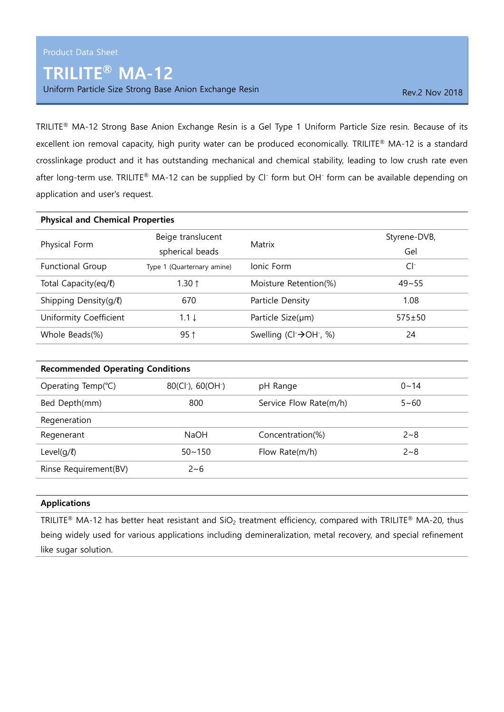## TRILITE® MA-12

Uniform Particle Size Strong Base Anion Exchange Resin Rev. 2 Nov 2018

TRILITE® MA-12 Strong Base Anion Exchange Resin is a Gel Type 1 Uniform Particle Size resin. Because of its excellent ion removal capacity, high purity water can be produced economically. TRILITE® MA-12 is a standard crosslinkage product and it has outstanding mechanical and chemical stability, leading to low crush rate even after long-term use. TRILITE® MA-12 can be supplied by Cl<sup>-</sup> form but OH<sup>-</sup> form can be available depending on application and user's request.

| <b>Physical and Chemical Properties</b> |                                            |                                                |                     |
|-----------------------------------------|--------------------------------------------|------------------------------------------------|---------------------|
| Physical Form                           | Beige translucent<br>spherical beads       | Matrix                                         | Styrene-DVB,<br>Gel |
| <b>Functional Group</b>                 | Type 1 (Quarternary amine)                 | Jonic Form                                     | $Cl^-$              |
| Total Capacity(eq/l)                    | 1.30 $\uparrow$                            | Moisture Retention(%)                          | $49 - 55$           |
| Shipping Density(g/l)                   | 670                                        | Particle Density                               | 1.08                |
| Uniformity Coefficient                  | $1.1 \downarrow$                           | Particle Size(µm)                              | $575 \pm 50$        |
| Whole Beads(%)                          | $95$ ↑                                     | Swelling (Cl $\rightarrow$ OH $\rightarrow$ %) | 24                  |
| <b>Recommended Operating Conditions</b> |                                            |                                                |                     |
| Operating Temp( $°C$ )                  | 80(Cl <sup>-</sup> ), 60(OH <sup>-</sup> ) | pH Range                                       | $0 - 14$            |
| Bed Depth(mm)                           | 800                                        | Service Flow Rate(m/h)                         | $5 - 60$            |
| Regeneration                            |                                            |                                                |                     |
| Regenerant                              | <b>NaOH</b>                                | Concentration(%)                               | $2 - 8$             |

## Applications

Rinse Requirement(BV) 2~6

TRILITE<sup>®</sup> MA-12 has better heat resistant and SiO<sub>2</sub> treatment efficiency, compared with TRILITE<sup>®</sup> MA-20, thus being widely used for various applications including demineralization, metal recovery, and special refinement like sugar solution.

Level(q/ℓ)  $50 \sim 150$  Flow Rate(m/h)  $2 \sim 8$